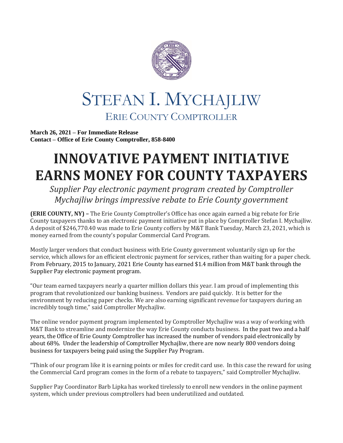

## STEFAN I. MYCHAJLIW ERIE COUNTY COMPTROLLER

**March 26, 2021 – For Immediate Release Contact – Office of Erie County Comptroller, 858-8400**

## **INNOVATIVE PAYMENT INITIATIVE EARNS MONEY FOR COUNTY TAXPAYERS**

*Supplier Pay electronic payment program created by Comptroller Mychajliw brings impressive rebate to Erie County government*

**(ERIE COUNTY, NY) –** The Erie County Comptroller's Office has once again earned a big rebate for Erie County taxpayers thanks to an electronic payment initiative put in place by Comptroller Stefan I. Mychajliw. A deposit of \$246,770.40 was made to Erie County coffers by M&T Bank Tuesday, March 23, 2021, which is money earned from the county's popular Commercial Card Program.

Mostly larger vendors that conduct business with Erie County government voluntarily sign up for the service, which allows for an efficient electronic payment for services, rather than waiting for a paper check. From February, 2015 to January, 2021 Erie County has earned \$1.4 million from M&T bank through the Supplier Pay electronic payment program.

"Our team earned taxpayers nearly a quarter million dollars this year. I am proud of implementing this program that revolutionized our banking business. Vendors are paid quickly. It is better for the environment by reducing paper checks. We are also earning significant revenue for taxpayers during an incredibly tough time," said Comptroller Mychajliw.

The online vendor payment program implemented by Comptroller Mychajliw was a way of working with M&T Bank to streamline and modernize the way Erie County conducts business. In the past two and a half years, the Office of Erie County Comptroller has increased the number of vendors paid electronically by about 68%. Under the leadership of Comptroller Mychajliw, there are now nearly 800 vendors doing business for taxpayers being paid using the Supplier Pay Program.

"Think of our program like it is earning points or miles for credit card use. In this case the reward for using the Commercial Card program comes in the form of a rebate to taxpayers," said Comptroller Mychajliw.

Supplier Pay Coordinator Barb Lipka has worked tirelessly to enroll new vendors in the online payment system, which under previous comptrollers had been underutilized and outdated.